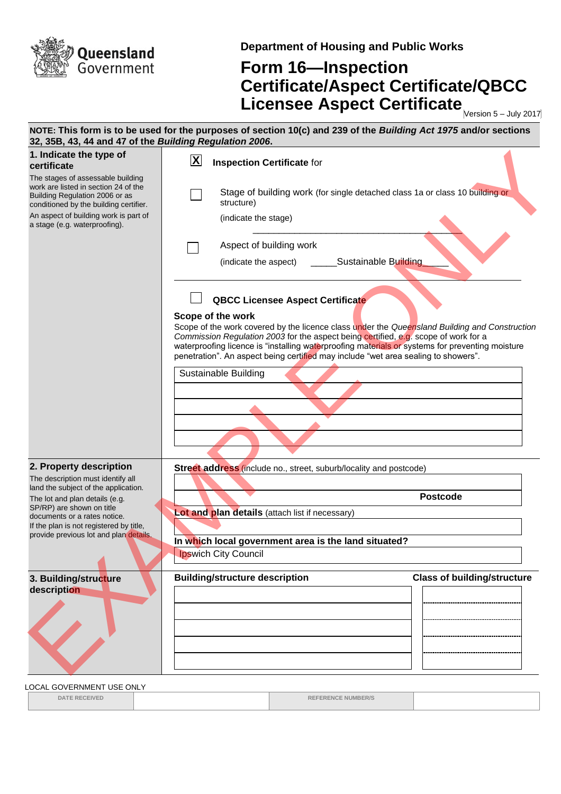

**Department of Housing and Public Works**

## **Form 16—Inspection Certificate/Aspect Certificate/QBCC Licensee Aspect Certificate** Mersion 5-July 2017

**NOTE: This form is to be used for the purposes of section 10(c) and 239 of the** *Building Act 1975* **and/or sections 32, 35B, 43, 44 and 47 of the** *Building Regulation 2006***. 1. Indicate the type of certificate** The stages of assessable building work are listed in section 24 of the Building Regulation 2006 or as conditioned by the building certifier. An aspect of building work is part of a stage (e.g. waterproofing). **Inspection Certificate** for Stage of building work (for single detached class 1a or class 10 building or structure) (indicate the stage)  $\overline{\phantom{a}}$  ,  $\overline{\phantom{a}}$  ,  $\overline{\phantom{a}}$  ,  $\overline{\phantom{a}}$  ,  $\overline{\phantom{a}}$  ,  $\overline{\phantom{a}}$  ,  $\overline{\phantom{a}}$  ,  $\overline{\phantom{a}}$  ,  $\overline{\phantom{a}}$  ,  $\overline{\phantom{a}}$  ,  $\overline{\phantom{a}}$  ,  $\overline{\phantom{a}}$  ,  $\overline{\phantom{a}}$  ,  $\overline{\phantom{a}}$  ,  $\overline{\phantom{a}}$  ,  $\overline{\phantom{a}}$ Aspect of building work (indicate the aspect) \_\_\_\_\_\_\_\_\_Sustainable Building **QBCC Licensee Aspect Certificate Scope of the work** Scope of the work covered by the licence class under the *Queensland Building and Construction Commission Regulation 2003* for the aspect being certified, e.g. scope of work for a waterproofing licence is "installing waterproofing materials or systems for preventing moisture penetration". An aspect being certified may include "wet area sealing to showers". Sustainable Building **2. Property description** The description must identify all land the subject of the application. The lot and plan details (e.g. SP/RP) are shown on title documents or a rates notice. If the plan is not registered by title, provide previous lot and plan details. **Street address** (include no., street, suburb/locality and postcode) **Postcode Lot and plan details** (attach list if necessary) **In which local government area is the land situated?**  Ipswich City Council **3. Building/structure description Building/structure description Class of building/structure X** 1. Indicate the speed of the state of the state of the state of the state of the state of the state of the state of the state of the state of the state of the state of the state of the state of the state of the state of th

LOCAL GOVERNMENT USE ONLY